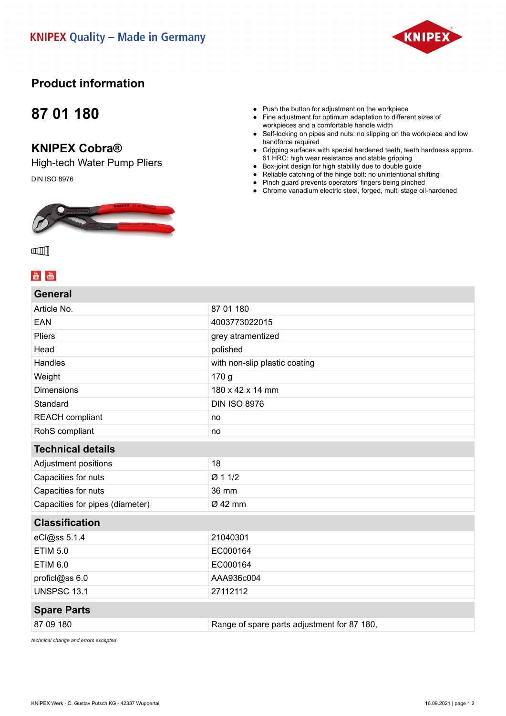

## **Product information**

## **87 01 180**

### **KNIPEX Cobra®**

High-tech Water Pump Pliers DIN ISO 8976



#### ● Push the button for adjustment on the workpiece

- Fine adjustment for optimum adaptation to different sizes of workpieces and a comfortable handle width
- Self-locking on pipes and nuts: no slipping on the workpiece and low handforce required
- Gripping surfaces with special hardened teeth, teeth hardness approx. 61 HRC: high wear resistance and stable gripping
- Box-joint design for high stability due to double guide
- Reliable catching of the hinge bolt: no unintentional shifting
- Pinch guard prevents operators' fingers being pinched
- Chrome vanadium electric steel, forged, multi stage oil-hardened

**CONTENT** 

### $\frac{You}{f(0)}$   $\frac{You}{f(0)}$

| General                         |                                             |
|---------------------------------|---------------------------------------------|
| Article No.                     | 87 01 180                                   |
| EAN                             | 4003773022015                               |
| <b>Pliers</b>                   | grey atramentized                           |
| Head                            | polished                                    |
| Handles                         | with non-slip plastic coating               |
| Weight                          | 170 <sub>g</sub>                            |
| <b>Dimensions</b>               | 180 x 42 x 14 mm                            |
| Standard                        | <b>DIN ISO 8976</b>                         |
| <b>REACH</b> compliant          | no                                          |
| RohS compliant                  | no                                          |
| <b>Technical details</b>        |                                             |
| Adjustment positions            | 18                                          |
| Capacities for nuts             | Ø 1 1/2                                     |
| Capacities for nuts             | 36 mm                                       |
| Capacities for pipes (diameter) | Ø 42 mm                                     |
| <b>Classification</b>           |                                             |
| eCl@ss 5.1.4                    | 21040301                                    |
| <b>ETIM 5.0</b>                 | EC000164                                    |
| <b>ETIM 6.0</b>                 | EC000164                                    |
| proficl@ss 6.0                  | AAA936c004                                  |
| <b>UNSPSC 13.1</b>              | 27112112                                    |
| <b>Spare Parts</b>              |                                             |
| 87 09 180                       | Range of spare parts adjustment for 87 180, |

*technical change and errors excepted*